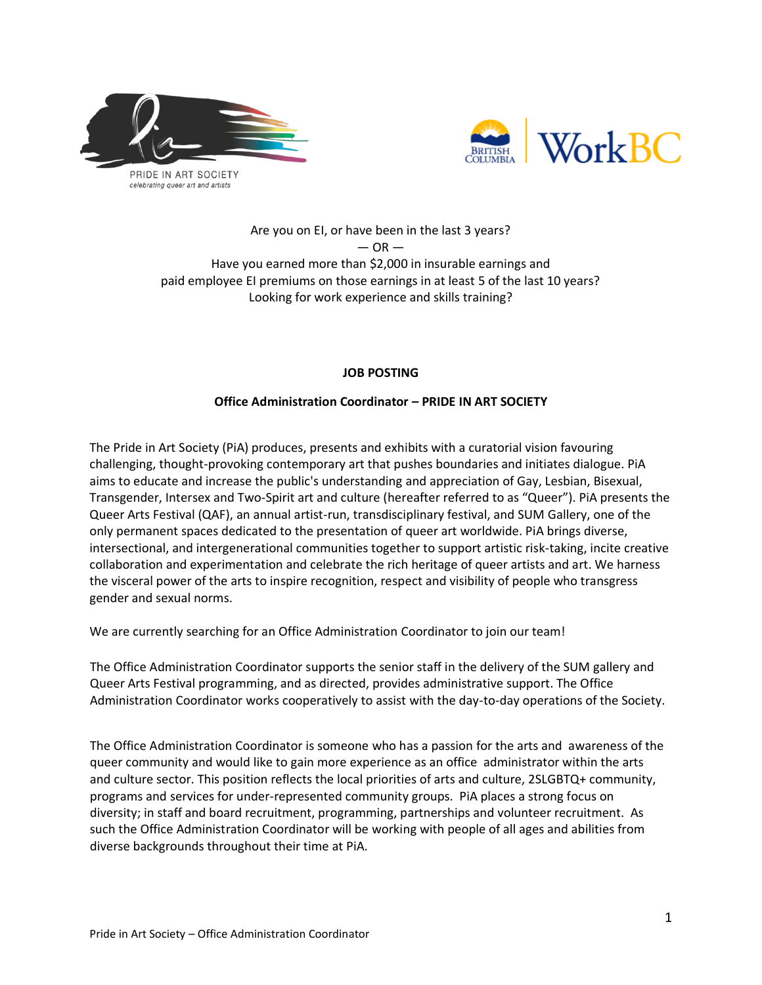



# Are you on EI, or have been in the last 3 years?  $-$  OR  $-$ Have you earned more than \$2,000 in insurable earnings and paid employee EI premiums on those earnings in at least 5 of the last 10 years? Looking for work experience and skills training?

# **JOB POSTING**

# **Office Administration Coordinator – PRIDE IN ART SOCIETY**

The Pride in Art Society (PiA) produces, presents and exhibits with a curatorial vision favouring challenging, thought-provoking contemporary art that pushes boundaries and initiates dialogue. PiA aims to educate and increase the public's understanding and appreciation of Gay, Lesbian, Bisexual, Transgender, Intersex and Two-Spirit art and culture (hereafter referred to as "Queer"). PiA presents the Queer Arts Festival (QAF), an annual artist-run, transdisciplinary festival, and SUM Gallery, one of the only permanent spaces dedicated to the presentation of queer art worldwide. PiA brings diverse, intersectional, and intergenerational communities together to support artistic risk-taking, incite creative collaboration and experimentation and celebrate the rich heritage of queer artists and art. We harness the visceral power of the arts to inspire recognition, respect and visibility of people who transgress gender and sexual norms.

We are currently searching for an Office Administration Coordinator to join our team!

The Office Administration Coordinator supports the senior staff in the delivery of the SUM gallery and Queer Arts Festival programming, and as directed, provides administrative support. The Office Administration Coordinator works cooperatively to assist with the day-to-day operations of the Society.

The Office Administration Coordinator is someone who has a passion for the arts and awareness of the queer community and would like to gain more experience as an office administrator within the arts and culture sector. This position reflects the local priorities of arts and culture, 2SLGBTQ+ community, programs and services for under-represented community groups. PiA places a strong focus on diversity; in staff and board recruitment, programming, partnerships and volunteer recruitment. As such the Office Administration Coordinator will be working with people of all ages and abilities from diverse backgrounds throughout their time at PiA.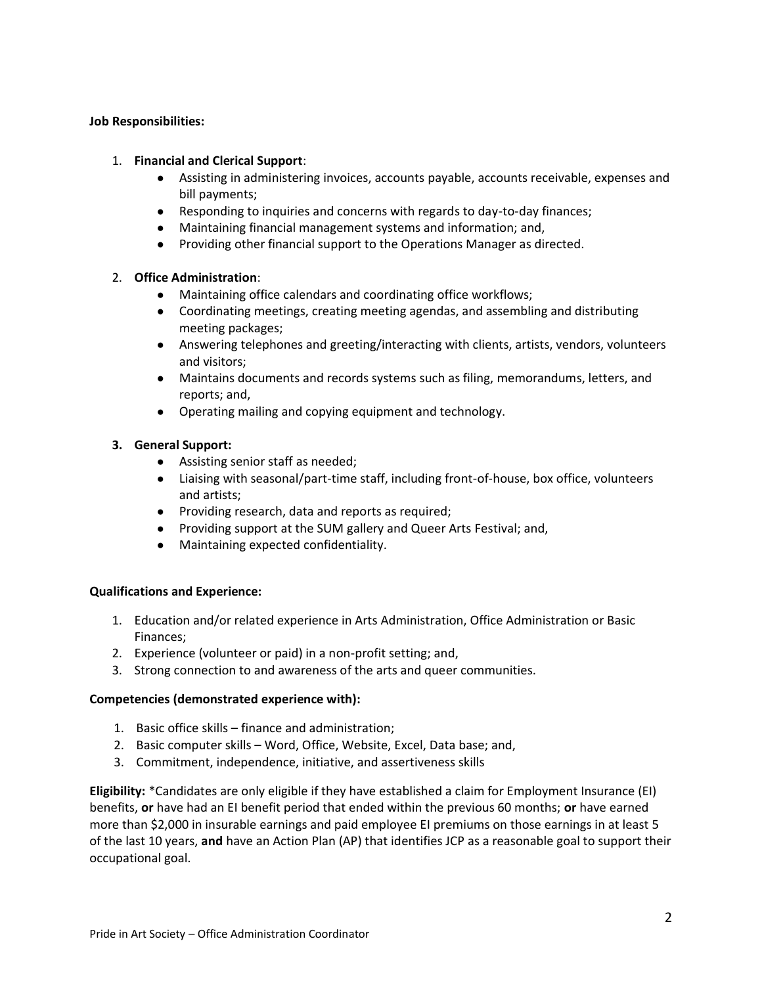# **Job Responsibilities:**

#### 1. **Financial and Clerical Support**:

- Assisting in administering invoices, accounts payable, accounts receivable, expenses and bill payments;
- Responding to inquiries and concerns with regards to day-to-day finances;
- Maintaining financial management systems and information; and,
- Providing other financial support to the Operations Manager as directed.

# 2. **Office Administration**:

- Maintaining office calendars and coordinating office workflows;
- Coordinating meetings, creating meeting agendas, and assembling and distributing meeting packages;
- Answering telephones and greeting/interacting with clients, artists, vendors, volunteers and visitors;
- Maintains documents and records systems such as filing, memorandums, letters, and reports; and,
- Operating mailing and copying equipment and technology.

# **3. General Support:**

- Assisting senior staff as needed;
- Liaising with seasonal/part-time staff, including front-of-house, box office, volunteers and artists;
- Providing research, data and reports as required;
- Providing support at the SUM gallery and Queer Arts Festival; and,
- Maintaining expected confidentiality.

# **Qualifications and Experience:**

- 1. Education and/or related experience in Arts Administration, Office Administration or Basic Finances;
- 2. Experience (volunteer or paid) in a non-profit setting; and,
- 3. Strong connection to and awareness of the arts and queer communities.

# **Competencies (demonstrated experience with):**

- 1. Basic office skills finance and administration;
- 2. Basic computer skills Word, Office, Website, Excel, Data base; and,
- 3. Commitment, independence, initiative, and assertiveness skills

**Eligibility:** \*Candidates are only eligible if they have established a claim for Employment Insurance (EI) benefits, **or** have had an EI benefit period that ended within the previous 60 months; **or** have earned more than \$2,000 in insurable earnings and paid employee EI premiums on those earnings in at least 5 of the last 10 years, **and** have an Action Plan (AP) that identifies JCP as a reasonable goal to support their occupational goal.